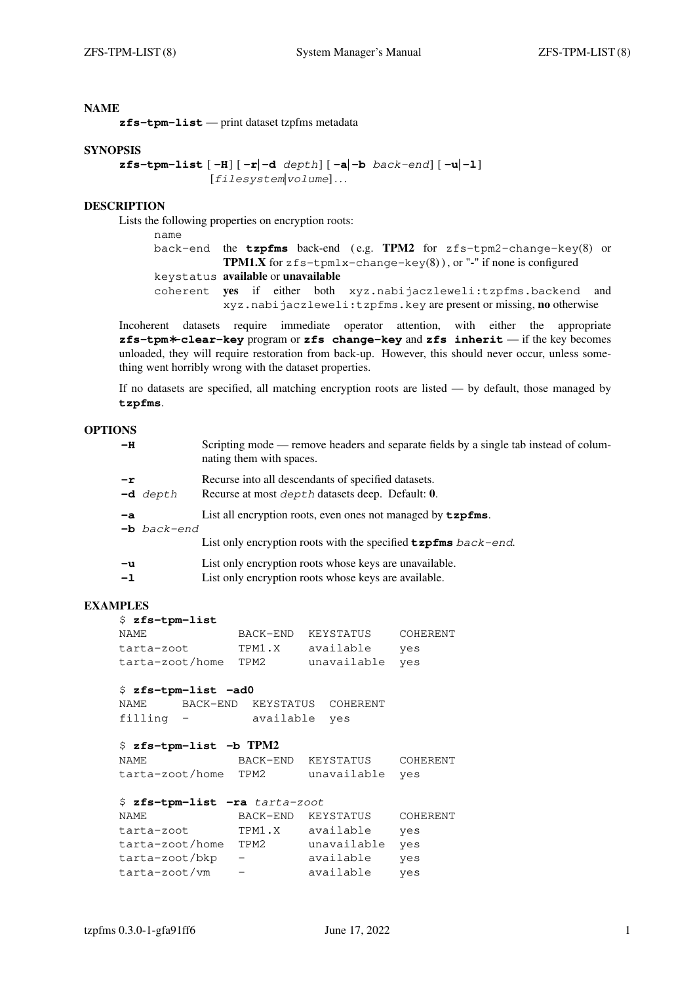**zfs-tpm-list** — print dataset tzpfms metadata

#### **SYNOPSIS**

```
zfs-tpm-list [ −H] [ −r| −d depth] [ −a| −b back-end] [ −u| −l]
               [filesystem|volume]...
```
#### **DESCRIPTION**

Lists the following properties on encryption roots:

name

```
back-end the tzpfms back-end ( e.g. TPM2 for zfs-tpm2-change-key(8) or
           TPM1.X for zfs-tpm1x-change-key(8)), or "\cdot" if none is configured
keystatus av ailable or unavailable
coherent yes if either both xyz.nabijaczleweli:tzpfms.backend and
           xyz.nabijaczleweli:tzpfms.key are present or missing, no otherwise
```
Incoherent datasets require immediate operator attention, with either the appropriate **zfs-tpm**∗**-clear-key** program or **zfs change-key** and **zfs inherit** — if the key becomes unloaded, they will require restoration from back-up. However, this should never occur, unless something went horribly wrong with the dataset properties.

If no datasets are specified, all matching encryption roots are listed — by default, those managed by **tzpfms**.

## **OPTIONS**

| $-H$                  |               | Scripting mode — remove headers and separate fields by a single tab instead of colum-<br>nating them with spaces.                        |
|-----------------------|---------------|------------------------------------------------------------------------------------------------------------------------------------------|
| $-r$                  | $-d$ depth    | Recurse into all descendants of specified datasets.<br>Recurse at most <i>depth</i> datasets deep. Default: 0.                           |
| $-a$                  | $-b$ back-end | List all encryption roots, even ones not managed by $\tt zpfms$ .<br>List only encryption roots with the specified $\tt zpfms$ back-end. |
| $-\mathbf{u}$<br>$-1$ |               | List only encryption roots whose keys are unavailable.<br>List only encryption roots whose keys are available.                           |

## **EXAMPLES**

\$ **zfs-tpm-list**

| NAME            | BACK-END | KEYSTATUS       | COHERENT |
|-----------------|----------|-----------------|----------|
| tarta-zoot      | TPM1.X   | available       | ves      |
| tarta-zoot/home | TPM2     | unavailable yes |          |

#### \$ **zfs-tpm-list −ad0**

NAME BACK-END KEYSTATUS COHERENT filling - available yes

## \$ **zfs-tpm-list −b TPM2**

| NAME                 | BACK-END | KEYSTATUS       | COHERENT |
|----------------------|----------|-----------------|----------|
| tarta-zoot/home TPM2 |          | unavailable yes |          |

#### \$ **zfs-tpm-list −ra** tarta-zoot

| NAME            | BACK-END | KEYSTATUS   | COHERENT |
|-----------------|----------|-------------|----------|
| tarta-zoot      | TPM1.X   | available   | ves      |
| tarta-zoot/home | TPM2     | unavailable | ves      |
| tarta-zoot/bkp  |          | available   | yes      |
| tarta-zoot/vm   |          | available   | yes      |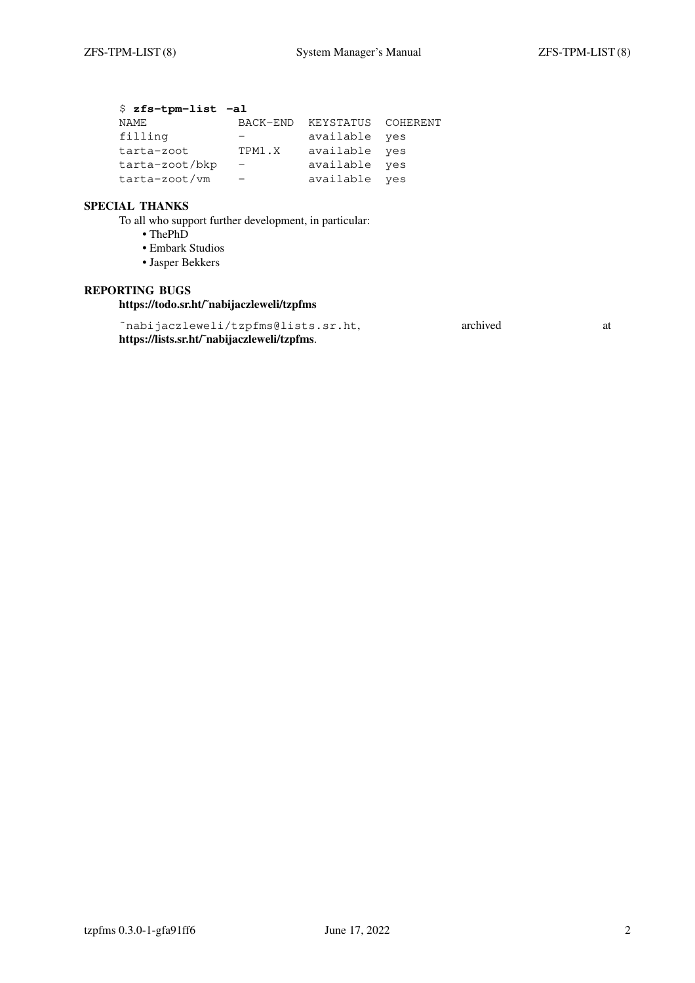# \$ **zfs-tpm-list −al**

| BACK-END                 |               |                    |
|--------------------------|---------------|--------------------|
|                          | available yes |                    |
| TPM1.X                   | available yes |                    |
| $\overline{\phantom{m}}$ | available yes |                    |
|                          | available yes |                    |
|                          |               | KEYSTATUS COHERENT |

# **SPECIAL THANKS**

To all who support further development, in particular:

**•** ThePhD

- **•** Embark Studios
- **•** Jasper Bekkers

# **REPORTING BUGS**

**https://todo.sr.ht/˜nabijaczleweli/tzpfms**

~nabijaczleweli/tzpfms@lists.sr.ht, archived at archived **https://lists.sr.ht/˜nabijaczleweli/tzpfms**.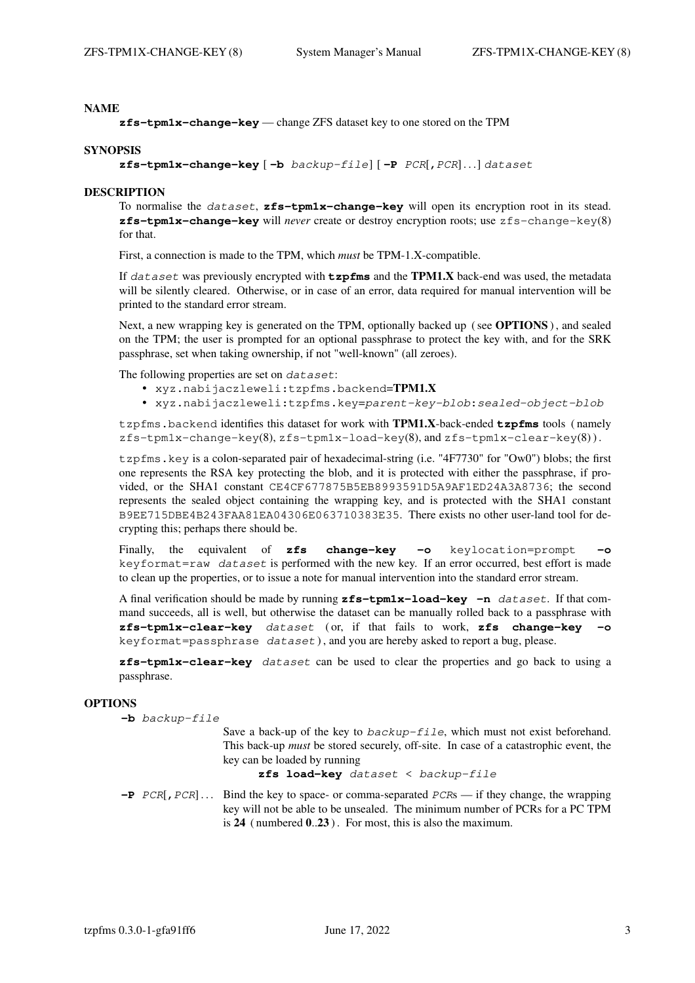**zfs-tpm1x-change-key** — change ZFS dataset key to one stored on the TPM

#### **SYNOPSIS**

**zfs-tpm1x-change-key** [ **−b** backup-file] [ **−P** PCR[**,**PCR]...] dataset

## **DESCRIPTION**

To normalise the dataset, **zfs-tpm1x-change-key** will open its encryption root in its stead. **zfs-tpm1x-change-key** will *never* create or destroy encryption roots; use zfs-change-key(8) for that.

First, a connection is made to the TPM, which *must* be TPM-1.X-compatible.

If dataset was previously encrypted with **tzpfms** and the **TPM1.X** back-end was used, the metadata will be silently cleared. Otherwise, or in case of an error, data required for manual intervention will be printed to the standard error stream.

Next, a new wrapping key is generated on the TPM, optionally backed up ( see **OPTIONS**), and sealed on the TPM; the user is prompted for an optional passphrase to protect the key with, and for the SRK passphrase, set when taking ownership, if not "well-known" (all zeroes).

The following properties are set on dataset:

- **•** xyz.nabijaczleweli:tzpfms.backend=**TPM1.X**
- **•** xyz.nabijaczleweli:tzpfms.key=parent-key-blob**:**sealed-object-blob

tzpfms.backend identifies this dataset for work with **TPM1.X**-back-ended **tzpfms** tools ( namely  $zfs$ -tpm1x-change-key(8),  $zfs$ -tpm1x-load-key(8), and  $zfs$ -tpm1x-clear-key(8)).

tzpfms.key is a colon-separated pair of hexadecimal-string (i.e. "4F7730" for "Ow0") blobs; the first one represents the RSA key protecting the blob, and it is protected with either the passphrase, if provided, or the SHA1 constant CE4CF677875B5EB8993591D5A9AF1ED24A3A8736; the second represents the sealed object containing the wrapping key, and is protected with the SHA1 constant B9EE715DBE4B243FAA81EA04306E063710383E35. There exists no other user-land tool for decrypting this; perhaps there should be.

Finally, the equivalent of **zfs change-key −o** keylocation=prompt **−o** keyformat=raw dataset is performed with the new key. If an error occurred, best effort is made to clean up the properties, or to issue a note for manual intervention into the standard error stream.

A final verification should be made by running **zfs-tpm1x-load-key −n** dataset. If that command succeeds, all is well, but otherwise the dataset can be manually rolled back to a passphrase with **zfs-tpm1x-clear-key** dataset ( or, if that fails to work, **zfs change-key −o** keyformat=passphrase dataset ), and you are hereby asked to report a bug, please.

**zfs-tpm1x-clear-key** dataset can be used to clear the properties and go back to using a passphrase.

#### **OPTIONS**

**−b** backup-file

Save a back-up of the key to backup-file, which must not exist beforehand. This back-up *must* be stored securely, off-site. In case of a catastrophic event, the key can be loaded by running

**zfs load-key** dataset < backup-file

**−P** PCR[**,**PCR]... Bind the key to space- or comma-separated PCRs— if they change, the wrapping key will not be able to be unsealed. The minimum number of PCRs for a PC TPM is **24** ( numbered **0**..**23** ). For most, this is also the maximum.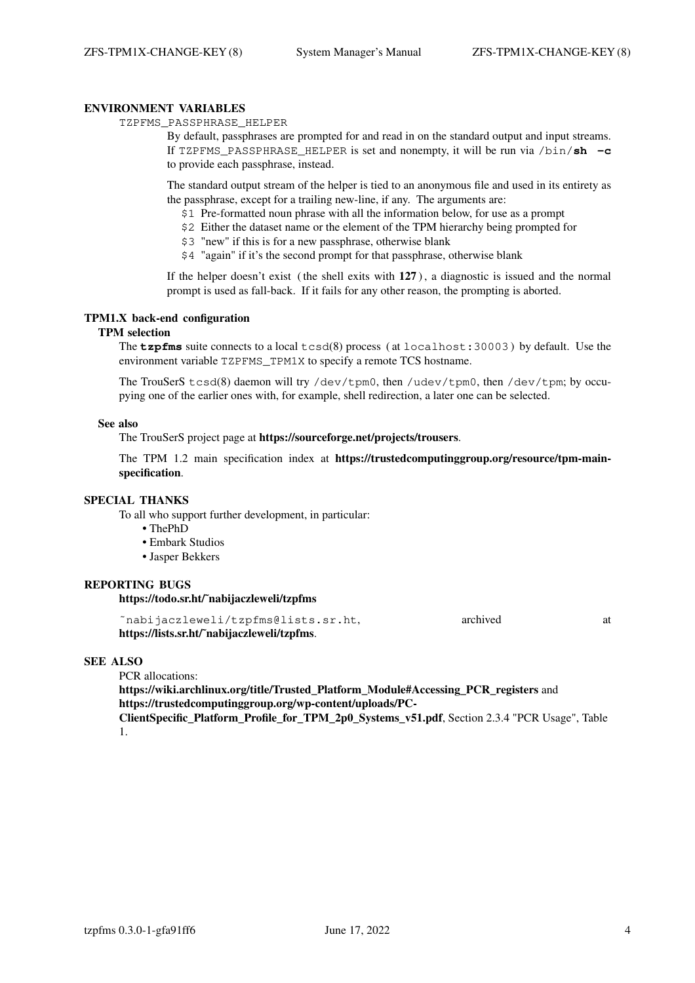## **ENVIRONMENT VARIABLES**

TZPFMS\_PASSPHRASE\_HELPER

By default, passphrases are prompted for and read in on the standard output and input streams. If TZPFMS\_PASSPHRASE\_HELPER is set and nonempty, it will be run via /bin/**sh −c** to provide each passphrase, instead.

The standard output stream of the helper is tied to an anonymous file and used in its entirety as the passphrase, except for a trailing new-line, if any. The arguments are:

- \$1 Pre-formatted noun phrase with all the information below, for use as a prompt
- \$2 Either the dataset name or the element of the TPM hierarchy being prompted for
- \$3 "new" if this is for a new passphrase, otherwise blank
- \$4 "again" if it's the second prompt for that passphrase, otherwise blank

If the helper doesn't exist ( the shell exits with **127** ), a diagnostic is issued and the normal prompt is used as fall-back. If it fails for any other reason, the prompting is aborted.

## **TPM1.X back-end configuration**

### **TPM selection**

The **tzpfms** suite connects to a local tcsd(8) process ( at localhost:30003 ) by default. Use the environment variable TZPFMS\_TPM1X to specify a remote TCS hostname.

The TrouSerS tcsd(8) daemon will try /dev/tpm0, then /udev/tpm0, then /dev/tpm; by occupying one of the earlier ones with, for example, shell redirection, a later one can be selected.

#### **See also**

The TrouSerS project page at **https://sourceforge.net/projects/trousers**.

The TPM 1.2 main specification index at **https://trustedcomputinggroup.org/resource/tpm-mainspecification**.

#### **SPECIAL THANKS**

To all who support further development, in particular:

- **•** ThePhD
- **•** Embark Studios
- **•** Jasper Bekkers

## **REPORTING BUGS**

**https://todo.sr.ht/˜nabijaczleweli/tzpfms**

| "nabijaczleweli/tzpfms@lists.sr.ht,         | archived |  |
|---------------------------------------------|----------|--|
| https://lists.sr.ht/~nabijaczleweli/tzpfms. |          |  |

#### **SEE ALSO**

PCR allocations:

**https://wiki.archlinux.org/title/Trusted\_Platform\_Module#Accessing\_PCR\_registers** and **https://trustedcomputinggroup.org/wp-content/uploads/PC-**

**ClientSpecific\_Platform\_Profile\_for\_TPM\_2p0\_Systems\_v51.pdf**, Section 2.3.4 "PCR Usage", Table 1.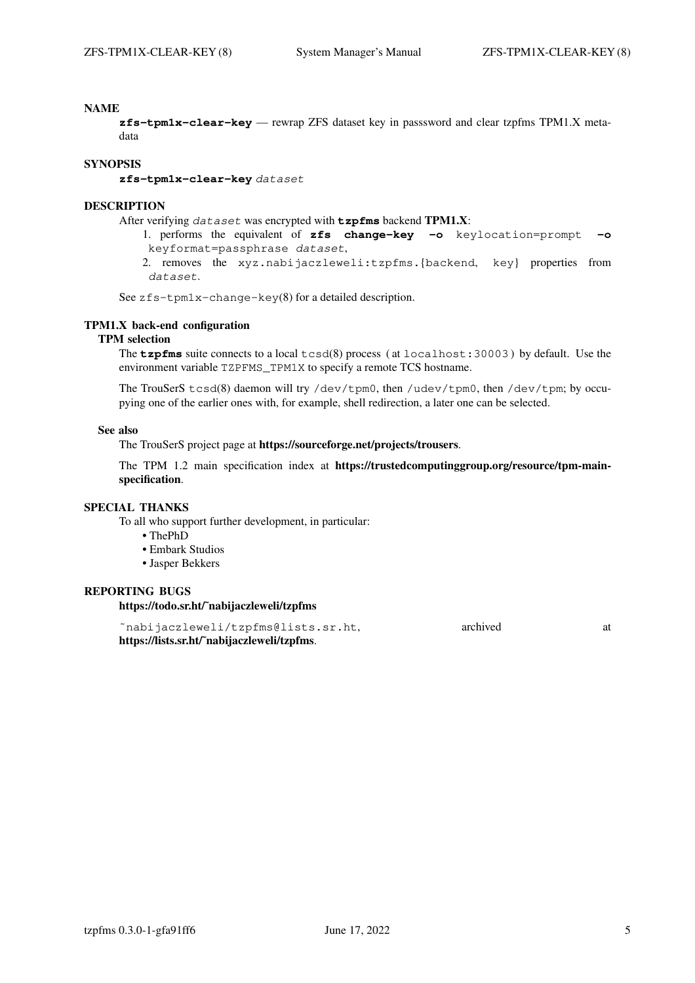**zfs-tpm1x-clear-key** — rewrap ZFS dataset key in passsword and clear tzpfms TPM1.X metadata

#### **SYNOPSIS**

**zfs-tpm1x-clear-key** dataset

#### **DESCRIPTION**

After verifying dataset was encrypted with **tzpfms** backend **TPM1.X**:

- 1. performs the equivalent of **zfs change-key −o** keylocation=prompt **−o** keyformat=passphrase dataset, 2. removes the xyz.nabijaczleweli:tzpfms.{backend, key} properties from
- dataset.

See zfs-tpm1x-change-key(8) for a detailed description.

## **TPM1.X back-end configuration**

# **TPM selection**

The **tzpfms** suite connects to a local tcsd(8) process ( at localhost:30003 ) by default. Use the environment variable TZPFMS TPM1X to specify a remote TCS hostname.

The TrouSerS tcsd(8) daemon will try /dev/tpm0, then /udev/tpm0, then /dev/tpm; by occupying one of the earlier ones with, for example, shell redirection, a later one can be selected.

## **See also**

The TrouSerS project page at **https://sourceforge.net/projects/trousers**.

The TPM 1.2 main specification index at **https://trustedcomputinggroup.org/resource/tpm-mainspecification**.

#### **SPECIAL THANKS**

To all who support further development, in particular:

- **•** ThePhD
- **•** Embark Studios
- **•** Jasper Bekkers

#### **REPORTING BUGS**

**https://todo.sr.ht/˜nabijaczleweli/tzpfms**

~nabijaczleweli/tzpfms@lists.sr.ht, archived archived at **https://lists.sr.ht/˜nabijaczleweli/tzpfms**.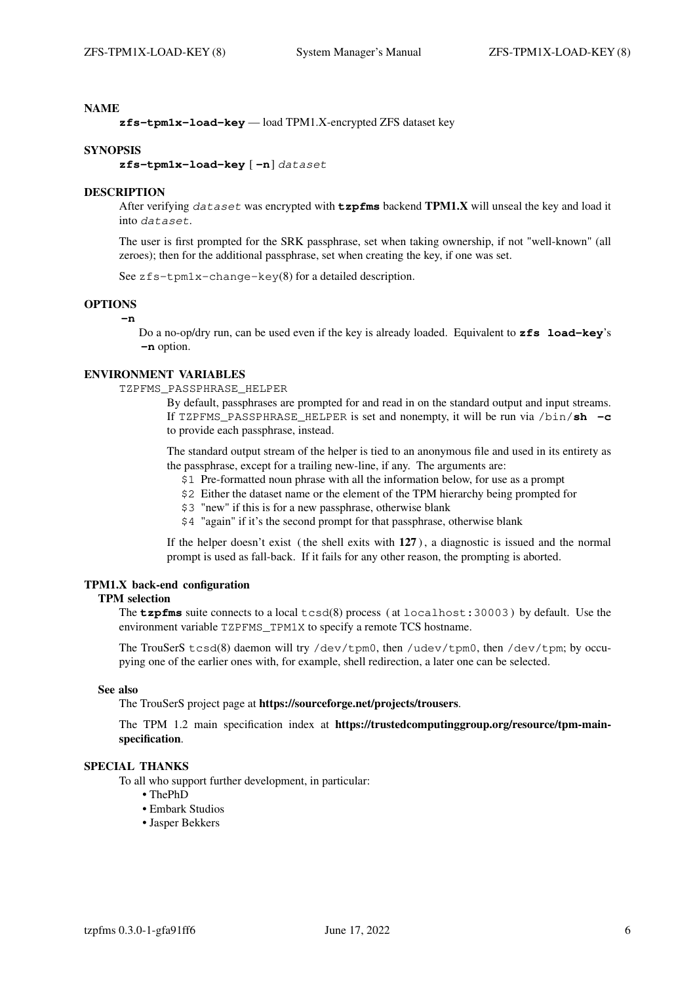**zfs-tpm1x-load-key** — load TPM1.X-encrypted ZFS dataset key

#### **SYNOPSIS**

**zfs-tpm1x-load-key** [ **−n**] dataset

#### **DESCRIPTION**

After verifying dataset was encrypted with **tzpfms** backend **TPM1.X** will unseal the key and load it into dataset.

The user is first prompted for the SRK passphrase, set when taking ownership, if not "well-known" (all zeroes); then for the additional passphrase, set when creating the key, if one was set.

See zfs-tpm1x-change-key(8) for a detailed description.

## **OPTIONS**

**−n**

Do a no-op/dry run, can be used even if the key is already loaded. Equivalent to **zfs load-key**'s **−n** option.

#### **ENVIRONMENT VARIABLES**

TZPFMS\_PASSPHRASE\_HELPER

By default, passphrases are prompted for and read in on the standard output and input streams. If TZPFMS\_PASSPHRASE\_HELPER is set and nonempty, it will be run via /bin/**sh −c** to provide each passphrase, instead.

The standard output stream of the helper is tied to an anonymous file and used in its entirety as the passphrase, except for a trailing new-line, if any. The arguments are:

- \$1 Pre-formatted noun phrase with all the information below, for use as a prompt
- \$2 Either the dataset name or the element of the TPM hierarchy being prompted for
- \$3 "new" if this is for a new passphrase, otherwise blank
- \$4 "again" if it's the second prompt for that passphrase, otherwise blank

If the helper doesn't exist ( the shell exits with **127** ), a diagnostic is issued and the normal prompt is used as fall-back. If it fails for any other reason, the prompting is aborted.

# **TPM1.X back-end configuration**

## **TPM selection**

The **tzpfms** suite connects to a local tcsd(8) process ( at localhost:30003 ) by default. Use the environment variable TZPFMS TPM1X to specify a remote TCS hostname.

The TrouSerS tcsd(8) daemon will try /dev/tpm0, then /udev/tpm0, then /dev/tpm; by occupying one of the earlier ones with, for example, shell redirection, a later one can be selected.

## **See also**

The TrouSerS project page at **https://sourceforge.net/projects/trousers**.

The TPM 1.2 main specification index at **https://trustedcomputinggroup.org/resource/tpm-mainspecification**.

## **SPECIAL THANKS**

To all who support further development, in particular:

- **•** ThePhD
- **•** Embark Studios
- **•** Jasper Bekkers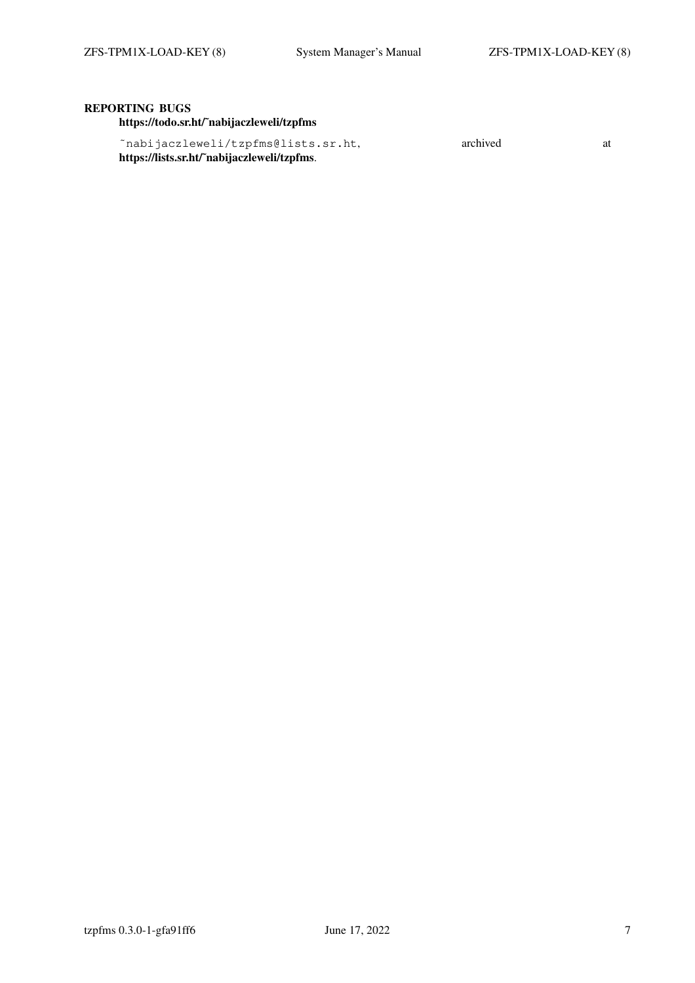# **REPORTING BUGS**

**https://todo.sr.ht/˜nabijaczleweli/tzpfms**

| ~nabijaczleweli/tzpfms@lists.sr.ht,         | archived |  |
|---------------------------------------------|----------|--|
| https://lists.sr.ht/~nabijaczleweli/tzpfms. |          |  |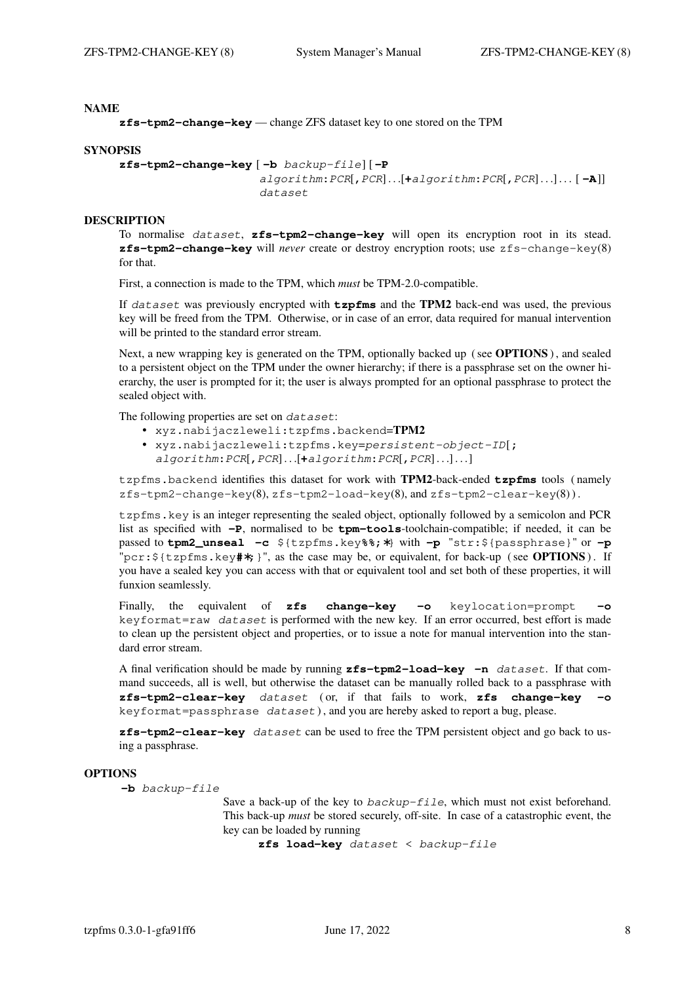**zfs-tpm2-change-key** — change ZFS dataset key to one stored on the TPM

#### **SYNOPSIS**

```
zfs-tpm2-change-key [ −b backup-file] [ −P
                      algorithm:PCR[,PCR]...[+algorithm:PCR[,PCR]...]... [ −A]]
                      dataset
```
#### **DESCRIPTION**

To normalise dataset, **zfs-tpm2-change-key** will open its encryption root in its stead. **zfs-tpm2-change-key** will *never* create or destroy encryption roots; use zfs-change-key(8) for that.

First, a connection is made to the TPM, which *must* be TPM-2.0-compatible.

If dataset was previously encrypted with **tzpfms** and the **TPM2** back-end was used, the previous key will be freed from the TPM. Otherwise, or in case of an error, data required for manual intervention will be printed to the standard error stream.

Next, a new wrapping key is generated on the TPM, optionally backed up ( see **OPTIONS**), and sealed to a persistent object on the TPM under the owner hierarchy; if there is a passphrase set on the owner hierarchy, the user is prompted for it; the user is always prompted for an optional passphrase to protect the sealed object with.

The following properties are set on dataset:

- **•** xyz.nabijaczleweli:tzpfms.backend=**TPM2**
- **•** xyz.nabijaczleweli:tzpfms.key=persistent-object-ID[**;** algorithm**:**PCR[**,**PCR]...[**+**algorithm**:**PCR[**,**PCR] . . .] . . .]

tzpfms.backend identifies this dataset for work with **TPM2**-back-ended **tzpfms** tools ( namely  $zfs-tom2-channel-\text{chance}-\text{key}(8), zfs-tom2-load-\text{key}(8), and zfs-tom2-clear-\text{key}(8)).$ 

tzpfms.key is an integer representing the sealed object, optionally followed by a semicolon and PCR list as specified with **−P**, normalised to be **tpm-tools**-toolchain-compatible; if needed, it can be passed to **tpm2\_unseal −c** \${tzpfms.key**%%**;∗} with **−p** "str:\${passphrase}" or **−p** "pcr:\${tzpfms.key**#**∗;}", as the case may be, or equivalent, for back-up ( see **OPTIONS**). If you have a sealed key you can access with that or equivalent tool and set both of these properties, it will funxion seamlessly.

Finally, the equivalent of **zfs change-key −o** keylocation=prompt **−o** keyformat=raw dataset is performed with the new key. If an error occurred, best effort is made to clean up the persistent object and properties, or to issue a note for manual intervention into the standard error stream.

A final verification should be made by running **zfs-tpm2-load-key −n** dataset. If that command succeeds, all is well, but otherwise the dataset can be manually rolled back to a passphrase with **zfs-tpm2-clear-key** dataset ( or, if that fails to work, **zfs change-key −o** keyformat=passphrase dataset ), and you are hereby asked to report a bug, please.

**zfs-tpm2-clear-key** dataset can be used to free the TPM persistent object and go back to using a passphrase.

#### **OPTIONS**

**−b** backup-file

Save a back-up of the key to backup-file, which must not exist beforehand. This back-up *must* be stored securely, off-site. In case of a catastrophic event, the key can be loaded by running

**zfs load-key** dataset < backup-file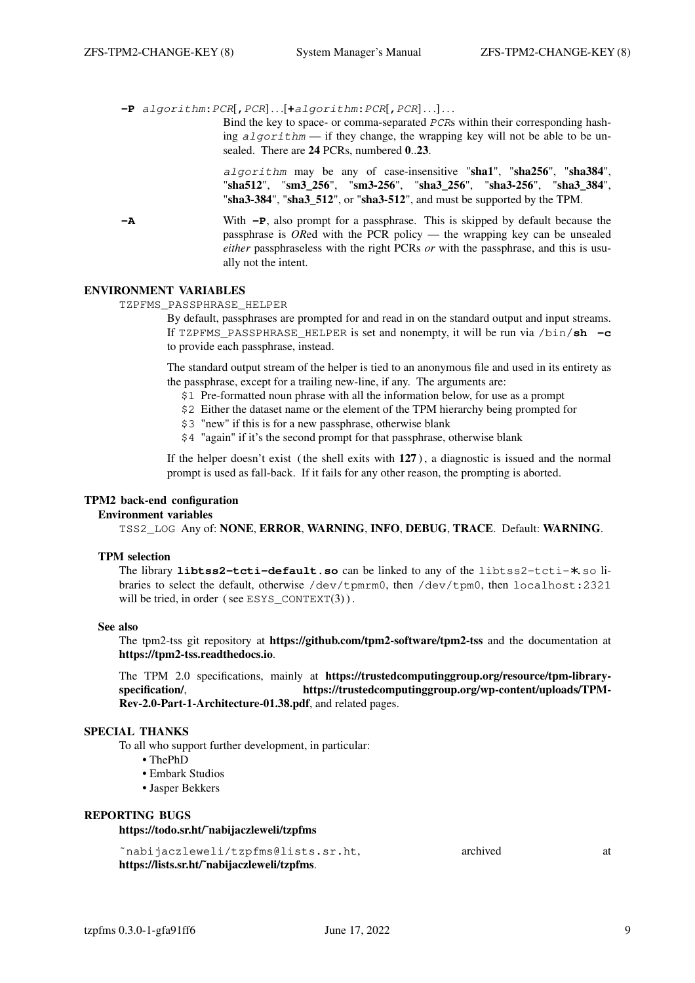**−P** algorithm**:**PCR[**,**PCR]...[**+**algorithm**:**PCR[**,**PCR] . . .] . . .

Bind the key to space- or comma-separated PCRs within their corresponding hashing  $a$ lgorithm — if they change, the wrapping key will not be able to be unsealed. There are **24** PCRs, numbered **0**..**23**.

algorithm may be any of case-insensitive "**sha1**", "**sha256**", "**sha384**", "**sha512**", "**sm3\_256**", "**sm3-256**", "**sha3\_256**", "**sha3-256**", "**sha3\_384**", "**sha3-384**", "**sha3\_512**", or "**sha3-512**", and must be supported by the TPM.

**−A** With **−P**, also prompt for a passphrase. This is skipped by default because the passphrase is *OR*ed with the PCR policy—the wrapping key can be unsealed *either* passphraseless with the right PCRs *or* with the passphrase, and this is usually not the intent.

## **ENVIRONMENT VARIABLES**

TZPFMS\_PASSPHRASE\_HELPER

By default, passphrases are prompted for and read in on the standard output and input streams. If TZPFMS\_PASSPHRASE\_HELPER is set and nonempty, it will be run via /bin/**sh −c** to provide each passphrase, instead.

The standard output stream of the helper is tied to an anonymous file and used in its entirety as the passphrase, except for a trailing new-line, if any. The arguments are:

- \$1 Pre-formatted noun phrase with all the information below, for use as a prompt
- \$2 Either the dataset name or the element of the TPM hierarchy being prompted for
- \$3 "new" if this is for a new passphrase, otherwise blank
- \$4 "again" if it's the second prompt for that passphrase, otherwise blank

If the helper doesn't exist ( the shell exits with **127** ), a diagnostic is issued and the normal prompt is used as fall-back. If it fails for any other reason, the prompting is aborted.

## **TPM2 back-end configuration**

#### **Environment variables**

TSS2\_LOG Any of: **NONE**, **ERROR**, **WARNING**, **INFO**, **DEBUG**, **TRACE**. Default: **WARNING**.

#### **TPM selection**

The library **libtss2-tcti-default.so** can be linked to any of the libtss2-tcti-∗.so libraries to select the default, otherwise /dev/tpmrm0, then /dev/tpm0, then localhost:2321 will be tried, in order (see ESYS  $CONTEXT(3)$ ).

#### **See also**

The tpm2-tss git repository at **https://github.com/tpm2-software/tpm2-tss** and the documentation at **https://tpm2-tss.readthedocs.io**.

The TPM 2.0 specifications, mainly at **https://trustedcomputinggroup.org/resource/tpm-libraryspecification/**, **https://trustedcomputinggroup.org/wp-content/uploads/TPM-Rev-2.0-Part-1-Architecture-01.38.pdf**, and related pages.

## **SPECIAL THANKS**

To all who support further development, in particular:

- **•** ThePhD
- **•** Embark Studios
- **•** Jasper Bekkers

### **REPORTING BUGS**

## **https://todo.sr.ht/˜nabijaczleweli/tzpfms**

| "nabijaczleweli/tzpfms@lists.sr.ht,         | archived |  |
|---------------------------------------------|----------|--|
| https://lists.sr.ht/~nabijaczleweli/tzpfms. |          |  |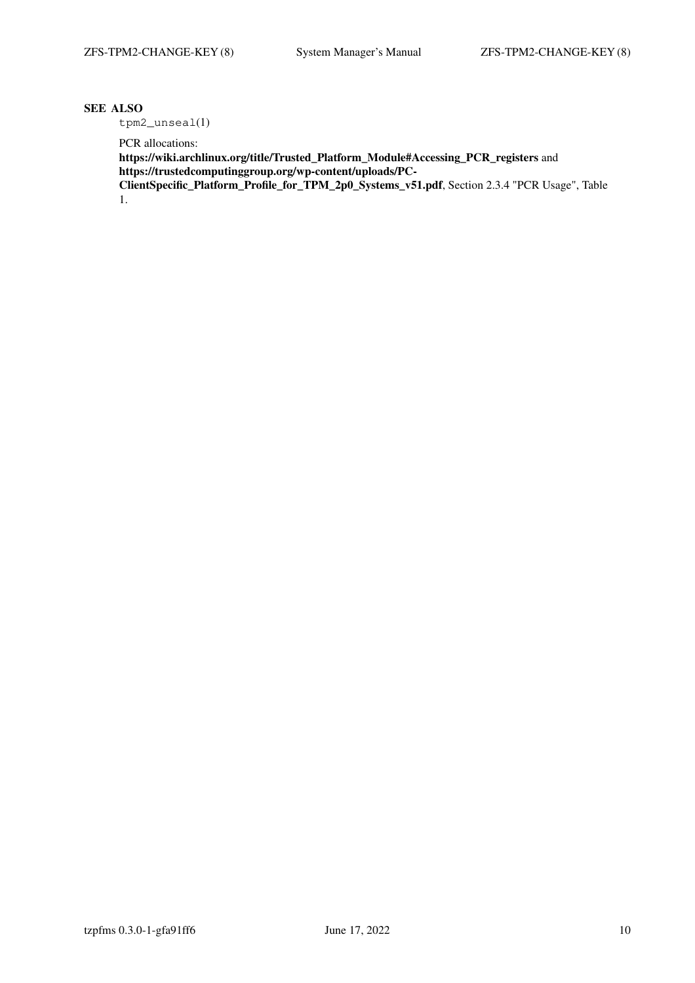## **SEE ALSO**

tpm2\_unseal(1)

PCR allocations:

**https://wiki.archlinux.org/title/Trusted\_Platform\_Module#Accessing\_PCR\_registers** and **https://trustedcomputinggroup.org/wp-content/uploads/PC-**

**ClientSpecific\_Platform\_Profile\_for\_TPM\_2p0\_Systems\_v51.pdf**, Section 2.3.4 "PCR Usage", Table 1.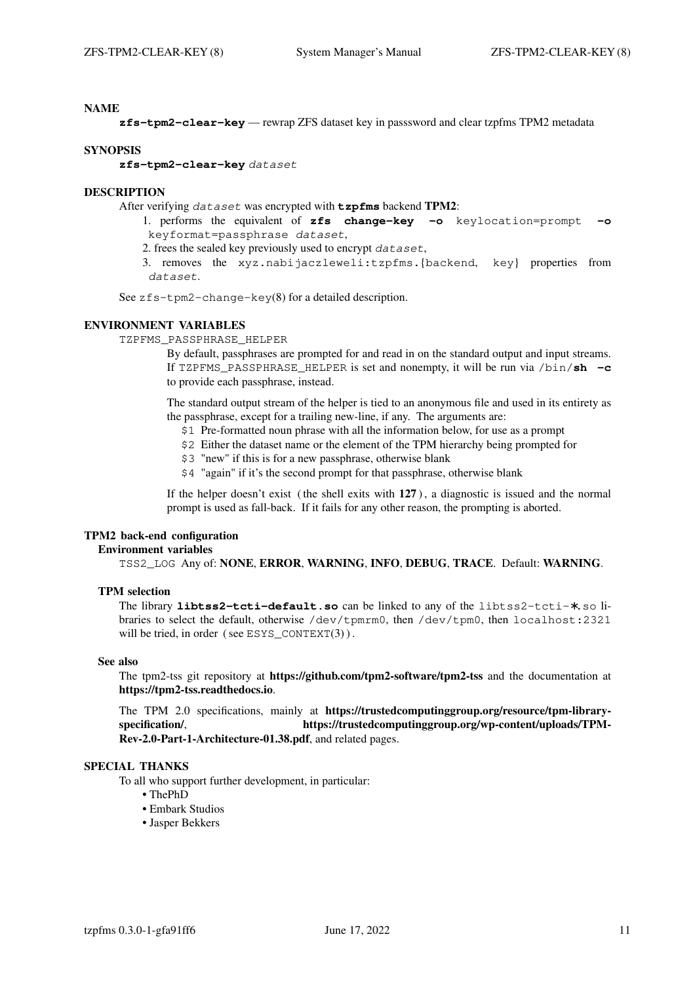**zfs-tpm2-clear-key** — rewrap ZFS dataset key in passsword and clear tzpfms TPM2 metadata

#### **SYNOPSIS**

**zfs-tpm2-clear-key** dataset

## **DESCRIPTION**

After verifying dataset was encrypted with **tzpfms** backend **TPM2**:

- 1. performs the equivalent of **zfs change-key −o** keylocation=prompt **−o** keyformat=passphrase dataset,
- 2. frees the sealed key previously used to encrypt dataset,
- 3. removes the xyz.nabijaczleweli:tzpfms.{backend, key} properties from dataset.

See zfs-tpm2-change-key(8) for a detailed description.

## **ENVIRONMENT VARIABLES**

TZPFMS\_PASSPHRASE\_HELPER

By default, passphrases are prompted for and read in on the standard output and input streams. If TZPFMS\_PASSPHRASE\_HELPER is set and nonempty, it will be run via /bin/**sh −c** to provide each passphrase, instead.

The standard output stream of the helper is tied to an anonymous file and used in its entirety as the passphrase, except for a trailing new-line, if any. The arguments are:

- \$1 Pre-formatted noun phrase with all the information below, for use as a prompt
- \$2 Either the dataset name or the element of the TPM hierarchy being prompted for
- \$3 "new" if this is for a new passphrase, otherwise blank
- \$4 "again" if it's the second prompt for that passphrase, otherwise blank

If the helper doesn't exist ( the shell exits with **127** ), a diagnostic is issued and the normal prompt is used as fall-back. If it fails for any other reason, the prompting is aborted.

## **TPM2 back-end configuration**

## **Environment variables**

TSS2\_LOG Any of: **NONE**, **ERROR**, **WARNING**, **INFO**, **DEBUG**, **TRACE**. Default: **WARNING**.

#### **TPM selection**

The library **libtss2-tcti-default.so** can be linked to any of the libtss2-tcti-∗.so libraries to select the default, otherwise /dev/tpmrm0, then /dev/tpm0, then localhost:2321 will be tried, in order (see ESYS  $CONF(T(3))$ .

#### **See also**

The tpm2-tss git repository at **https://github.com/tpm2-software/tpm2-tss** and the documentation at **https://tpm2-tss.readthedocs.io**.

The TPM 2.0 specifications, mainly at **https://trustedcomputinggroup.org/resource/tpm-libraryspecification/**, **https://trustedcomputinggroup.org/wp-content/uploads/TPM-Rev-2.0-Part-1-Architecture-01.38.pdf**, and related pages.

## **SPECIAL THANKS**

To all who support further development, in particular:

- **•** ThePhD
- **•** Embark Studios
- **•** Jasper Bekkers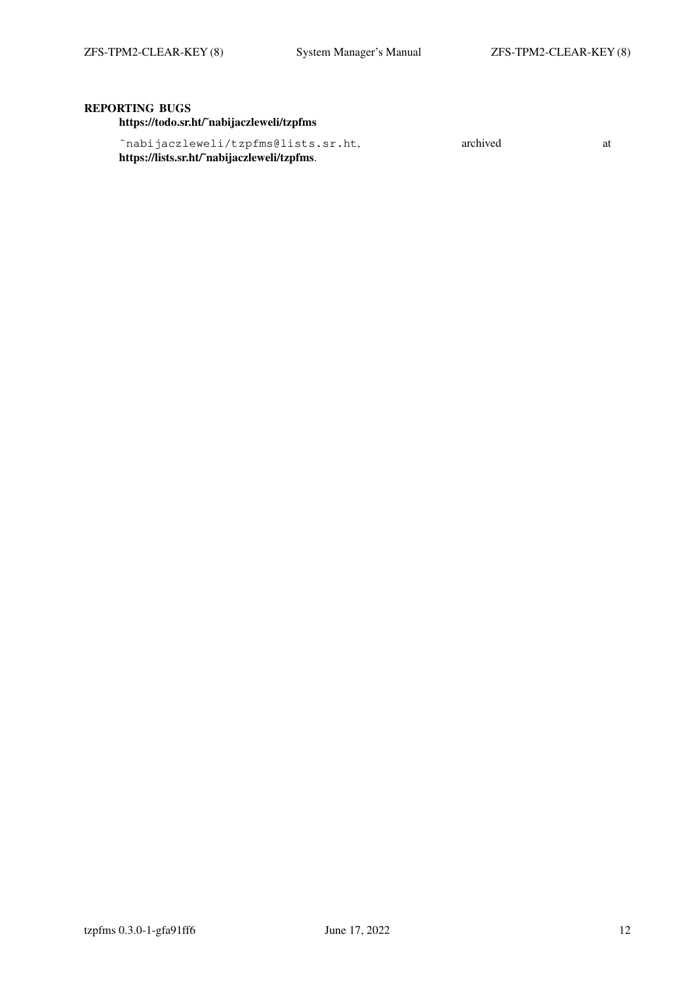# **REPORTING BUGS**

**https://todo.sr.ht/˜nabijaczleweli/tzpfms**

| ~nabijaczleweli/tzpfms@lists.sr.ht,         | archived |  |
|---------------------------------------------|----------|--|
| https://lists.sr.ht/~nabijaczleweli/tzpfms. |          |  |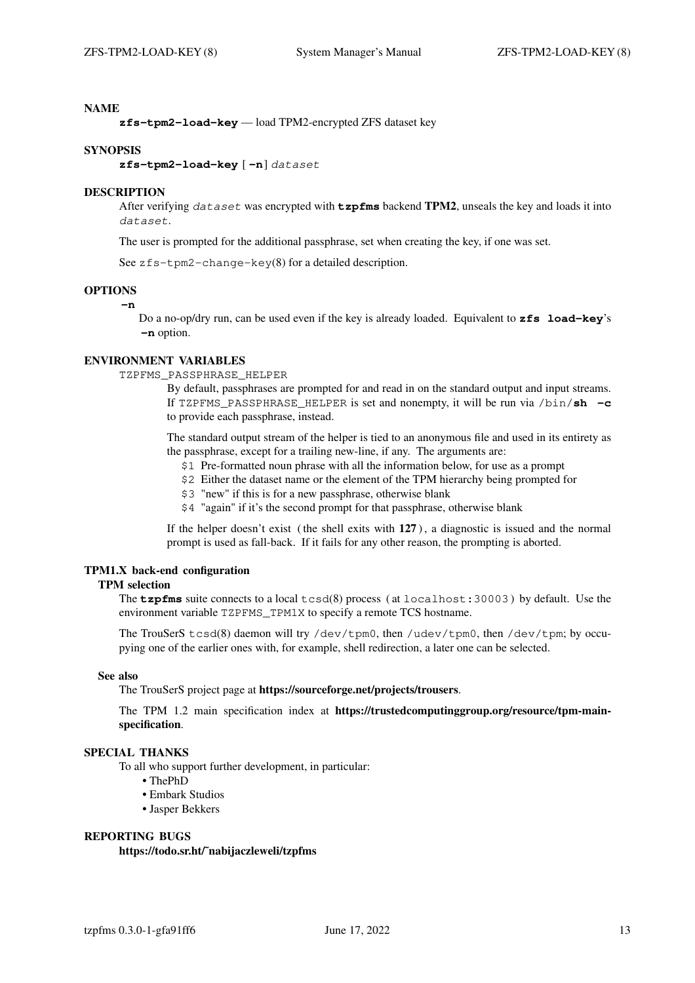**zfs-tpm2-load-key** — load TPM2-encrypted ZFS dataset key

#### **SYNOPSIS**

**zfs-tpm2-load-key** [ **−n**] dataset

#### **DESCRIPTION**

After verifying dataset was encrypted with **tzpfms** backend **TPM2**, unseals the key and loads it into dataset.

The user is prompted for the additional passphrase, set when creating the key, if one was set.

See zfs-tpm2-change-key(8) for a detailed description.

# **OPTIONS**

**−n**

Do a no-op/dry run, can be used even if the key is already loaded. Equivalent to **zfs load-key**'s **−n** option.

## **ENVIRONMENT VARIABLES**

TZPFMS\_PASSPHRASE\_HELPER

By default, passphrases are prompted for and read in on the standard output and input streams. If TZPFMS\_PASSPHRASE\_HELPER is set and nonempty, it will be run via /bin/**sh −c** to provide each passphrase, instead.

The standard output stream of the helper is tied to an anonymous file and used in its entirety as the passphrase, except for a trailing new-line, if any. The arguments are:

- \$1 Pre-formatted noun phrase with all the information below, for use as a prompt
- \$2 Either the dataset name or the element of the TPM hierarchy being prompted for
- \$3 "new" if this is for a new passphrase, otherwise blank
- \$4 "again" if it's the second prompt for that passphrase, otherwise blank

If the helper doesn't exist ( the shell exits with **127** ), a diagnostic is issued and the normal prompt is used as fall-back. If it fails for any other reason, the prompting is aborted.

#### **TPM1.X back-end configuration**

## **TPM selection**

The **tzpfms** suite connects to a local tcsd(8) process ( at localhost:30003 ) by default. Use the environment variable TZPFMS\_TPM1X to specify a remote TCS hostname.

The TrouSerS tcsd(8) daemon will try /dev/tpm0, then /udev/tpm0, then /dev/tpm; by occupying one of the earlier ones with, for example, shell redirection, a later one can be selected.

## **See also**

The TrouSerS project page at **https://sourceforge.net/projects/trousers**.

The TPM 1.2 main specification index at **https://trustedcomputinggroup.org/resource/tpm-mainspecification**.

## **SPECIAL THANKS**

To all who support further development, in particular:

**•** ThePhD

- **•** Embark Studios
- **•** Jasper Bekkers

# **REPORTING BUGS https://todo.sr.ht/˜nabijaczleweli/tzpfms**